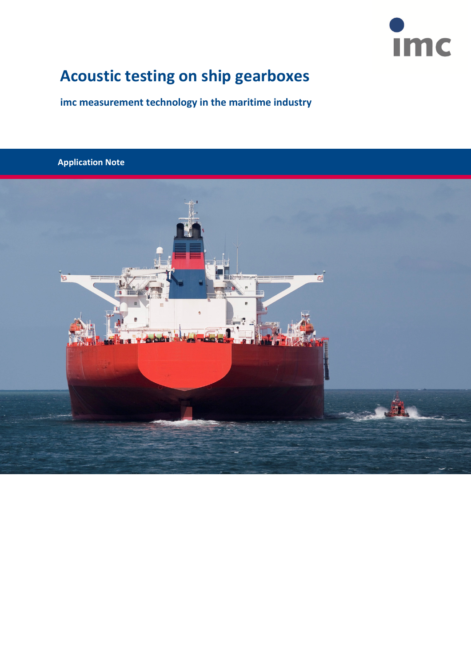

# **Acoustic testing on ship gearboxes**

**imc measurement technology in the maritime industry**

**Application Note**

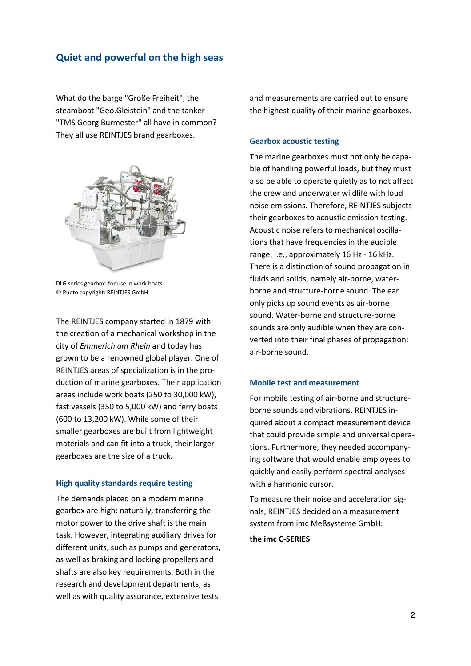### **Quiet and powerful on the high seas**

What do the barge "Große Freiheit", the steamboat "Geo.Gleistein" and the tanker "TMS Georg Burmester" all have in common? They all use REINTJES brand gearboxes.



DLG series gearbox: for use in work boats © Photo copyright: REINTJES GmbH

The REINTJES company started in 1879 with the creation of a mechanical workshop in the city of *Emmerich am Rhein* and today has grown to be a renowned global player. One of REINTJES areas of specialization is in the production of marine gearboxes. Their application areas include work boats (250 to 30,000 kW), fast vessels (350 to 5,000 kW) and ferry boats (600 to 13,200 kW). While some of their smaller gearboxes are built from lightweight materials and can fit into a truck, their larger gearboxes are the size of a truck.

#### **High quality standards require testing**

The demands placed on a modern marine gearbox are high: naturally, transferring the motor power to the drive shaft is the main task. However, integrating auxiliary drives for different units, such as pumps and generators, as well as braking and locking propellers and shafts are also key requirements. Both in the research and development departments, as well as with quality assurance, extensive tests

and measurements are carried out to ensure the highest quality of their marine gearboxes.

#### **Gearbox acoustic testing**

The marine gearboxes must not only be capable of handling powerful loads, but they must also be able to operate quietly as to not affect the crew and underwater wildlife with loud noise emissions. Therefore, REINTJES subjects their gearboxes to acoustic emission testing. Acoustic noise refers to mechanical oscillations that have frequencies in the audible range, i.e., approximately 16 Hz - 16 kHz. There is a distinction of sound propagation in fluids and solids, namely air-borne, waterborne and structure-borne sound. The ear only picks up sound events as air-borne sound. Water-borne and structure-borne sounds are only audible when they are converted into their final phases of propagation: air-borne sound.

#### **Mobile test and measurement**

For mobile testing of air-borne and structureborne sounds and vibrations, REINTJES inquired about a compact measurement device that could provide simple and universal operations. Furthermore, they needed accompanying software that would enable employees to quickly and easily perform spectral analyses with a harmonic cursor.

To measure their noise and acceleration signals, REINTJES decided on a measurement system from imc Meßsysteme GmbH:

**the imc C-SERIES**.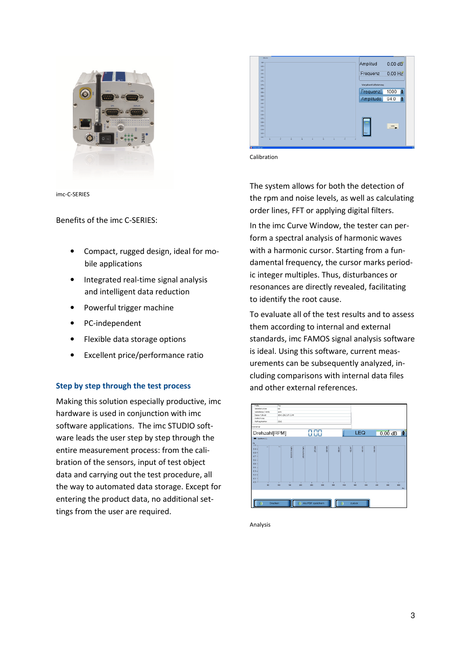



Calibration

imc-C-SERIES

Benefits of the imc C-SERIES:

- Compact, rugged design, ideal for mobile applications
- Integrated real-time signal analysis and intelligent data reduction
- Powerful trigger machine
- PC-independent
- Flexible data storage options
- Excellent price/performance ratio

#### **Step by step through the test process**

Making this solution especially productive, imc hardware is used in conjunction with imc software applications. The imc STUDIO software leads the user step by step through the entire measurement process: from the calibration of the sensors, input of test object data and carrying out the test procedure, all the way to automated data storage. Except for entering the product data, no additional settings from the user are required.

The system allows for both the detection of the rpm and noise levels, as well as calculating order lines, FFT or applying digital filters.

In the imc Curve Window, the tester can perform a spectral analysis of harmonic waves with a harmonic cursor. Starting from a fundamental frequency, the cursor marks periodic integer multiples. Thus, disturbances or resonances are directly revealed, facilitating to identify the root cause.

To evaluate all of the test results and to assess them according to internal and external standards, imc FAMOS signal analysis software is ideal. Using this software, current measurements can be subsequently analyzed, including comparisons with internal data files and other external references.



Analysis